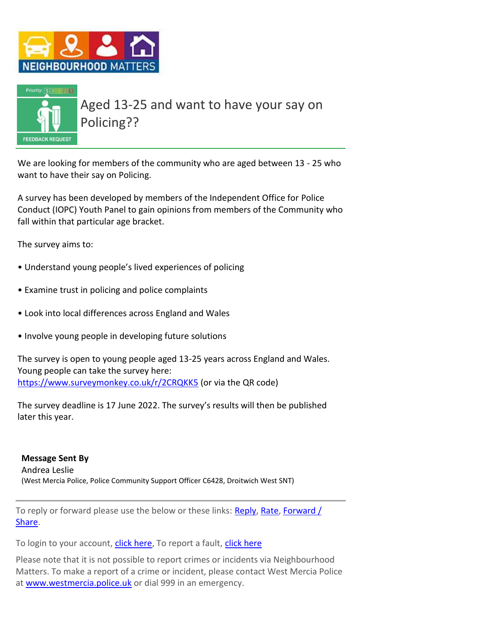



Aged 13-25 and want to have your say on Policing??

We are looking for members of the community who are aged between 13 - 25 who want to have their say on Policing.

A survey has been developed by members of the Independent Office for Police Conduct (IOPC) Youth Panel to gain opinions from members of the Community who fall within that particular age bracket.

The survey aims to:

- Understand young people's lived experiences of policing
- Examine trust in policing and police complaints
- Look into local differences across England and Wales
- Involve young people in developing future solutions

The survey is open to young people aged 13-25 years across England and Wales. Young people can take the survey here: [https://www.surveymonkey.co.uk/r/2CRQKK5](https://s-url.co/l9IAAA) (or via the QR code)

The survey deadline is 17 June 2022. The survey's results will then be published later this year.

**Message Sent By** Andrea Leslie (West Mercia Police, Police Community Support Officer C6428, Droitwich West SNT)

To reply or forward please use the below or these links: [Reply,](https://members.neighbourhoodmatters.co.uk/AlertMessage/RepliesToMessage/F9DE5BE6CF111199A4CE6EC9496AA059) [Rate,](https://members.neighbourhoodmatters.co.uk/AlertMessage/MessageRatings/F9DE5BE6CF111199A4CE6EC9496AA059) [Forward](https://members.neighbourhoodmatters.co.uk/AlertMessage/ShareMessage/F9DE5BE6CF111199A4CE6EC9496AA059) / [Share.](https://members.neighbourhoodmatters.co.uk/AlertMessage/ShareMessage/F9DE5BE6CF111199A4CE6EC9496AA059)

To login to your account, [click here,](https://members.neighbourhoodmatters.co.uk/) To report a fault, [click here](mailto:support@neighbourhoodalert.co.uk)

Please note that it is not possible to report crimes or incidents via Neighbourhood Matters. To make a report of a crime or incident, please contact West Mercia Police at [www.westmercia.police.uk](https://www.westmercia.police.uk/) or dial 999 in an emergency.